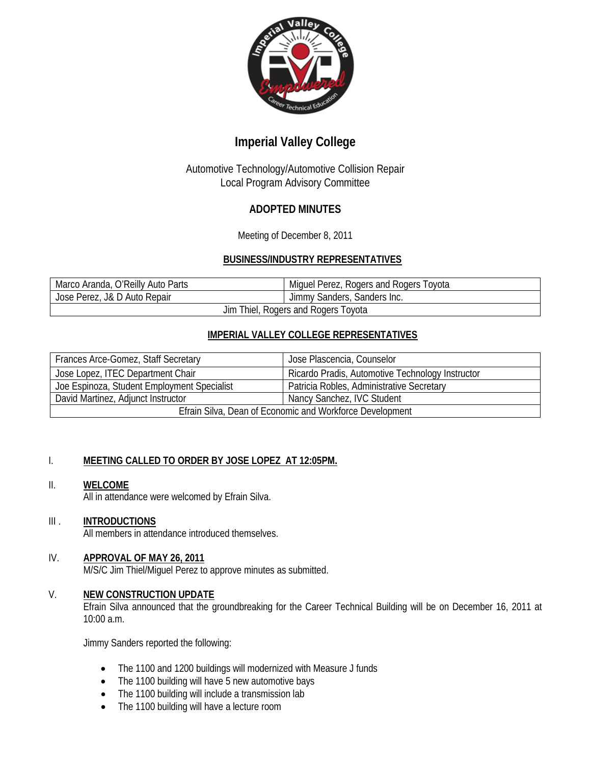

# **Imperial Valley College**

## Automotive Technology/Automotive Collision Repair Local Program Advisory Committee

## **ADOPTED MINUTES**

Meeting of December 8, 2011

## **BUSINESS/INDUSTRY REPRESENTATIVES**

| Marco Aranda, O'Reilly Auto Parts   | Miguel Perez, Rogers and Rogers Toyota |
|-------------------------------------|----------------------------------------|
| Jose Perez, J& D Auto Repair        | Jimmy Sanders, Sanders Inc.            |
| Jim Thiel, Rogers and Rogers Toyota |                                        |

## **IMPERIAL VALLEY COLLEGE REPRESENTATIVES**

| Frances Arce-Gomez, Staff Secretary                      | Jose Plascencia, Counselor                       |
|----------------------------------------------------------|--------------------------------------------------|
| Jose Lopez, ITEC Department Chair                        | Ricardo Pradis, Automotive Technology Instructor |
| Joe Espinoza, Student Employment Specialist              | Patricia Robles, Administrative Secretary        |
| David Martinez, Adjunct Instructor                       | Nancy Sanchez, IVC Student                       |
| Efrain Silva, Dean of Economic and Workforce Development |                                                  |

## I. **MEETING CALLED TO ORDER BY JOSE LOPEZ AT 12:05PM.**

## II. **WELCOME**

All in attendance were welcomed by Efrain Silva.

## III . **INTRODUCTIONS**

All members in attendance introduced themselves.

## IV. **APPROVAL OF MAY 26, 2011**

M/S/C Jim Thiel/Miguel Perez to approve minutes as submitted.

### V. **NEW CONSTRUCTION UPDATE**

Efrain Silva announced that the groundbreaking for the Career Technical Building will be on December 16, 2011 at 10:00 a.m.

Jimmy Sanders reported the following:

- The 1100 and 1200 buildings will modernized with Measure J funds
- The 1100 building will have 5 new automotive bays
- The 1100 building will include a transmission lab
- The 1100 building will have a lecture room